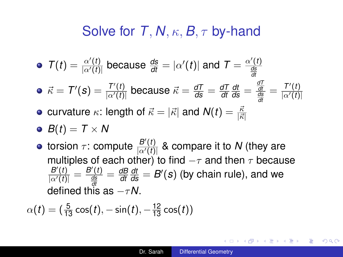## Solve for *T*, *N*, κ, *B*, τ by-hand

<span id="page-0-0"></span>\n- \n
$$
\mathcal{T}(t) = \frac{\alpha'(t)}{|\alpha'(t)|}
$$
 because\n  $\frac{ds}{dt} = |\alpha'(t)|$  and\n  $\mathcal{T} = \frac{\alpha'(t)}{\frac{ds}{dt}}$ \n
\n- \n $\vec{\kappa} = \mathcal{T}'(\mathbf{s}) = \frac{\mathcal{T}'(t)}{|\alpha'(t)|}$  because\n  $\vec{\kappa} = \frac{d\mathcal{T}}{ds} = \frac{d\mathcal{T}}{dt} \frac{dt}{ds} = \frac{\frac{d\mathcal{T}}{dt}}{\frac{ds}{dt}} = \frac{\mathcal{T}'(t)}{|\alpha'(t)|}$ \n
\n- \n curvature  $\kappa$ : length of\n  $\vec{\kappa} = |\vec{\kappa}|$  and\n  $\mathcal{N}(t) = \frac{\vec{\kappa}}{|\vec{\kappa}|}$ \n
\n

$$
\bullet \ \ B(t)=T\times N
$$

torsion  $\tau$ : compute  $\frac{B'(t)}{|\alpha'(t)|}$  $\frac{B(t)}{|a'(t)|}$  & compare it to *N* (they are multiples of each other) to find  $-\tau$  and then  $\tau$  because  $\frac{B'(t)}{|A'(t)|} = \frac{B'(t)}{\frac{ds}{dt}} = \frac{dB}{dt}$ defined this as  $-\tau N$ . *dt*  $\frac{dt}{ds} = B'(s)$  (by chain rule), and we

$$
\alpha(t) = (\frac{5}{13}\cos(t), -\sin(t), -\frac{12}{13}\cos(t))
$$

K個→ K 目→ K 目→ → 目→ K 9 Q Q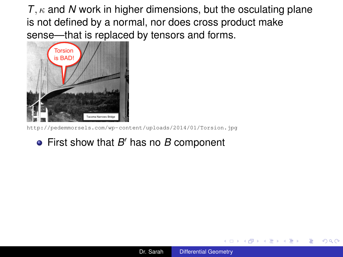<span id="page-1-0"></span>

<http://pedemmorsels.com/wp-content/uploads/2014/01/Torsion.jpg>

## First show that *B'* has no *B* component

K 何 ▶ K ヨ ▶ K ヨ ▶ ...

4 0 8

B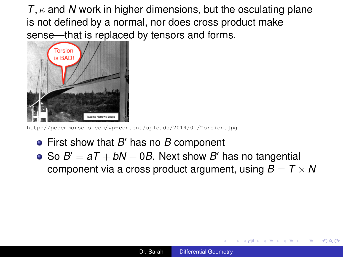

<http://pedemmorsels.com/wp-content/uploads/2014/01/Torsion.jpg>

- First show that *B'* has no *B* component
- So  $B' = aT + bN + 0B$ . Next show  $B'$  has no tangential component via a cross product argument, using  $B = T \times N$

K 何 ▶ K ヨ ▶ K ヨ ▶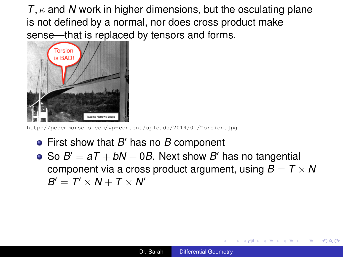<span id="page-3-0"></span>

<http://pedemmorsels.com/wp-content/uploads/2014/01/Torsion.jpg>

- First show that *B'* has no *B* component
- So  $B' = aT + bN + 0B$ . Next show  $B'$  has no tangential component via a cross product argument, using  $B = T \times N$  $B' = T' \times N + T \times N'$

K 何 ▶ K ヨ ▶ K ヨ ▶ ...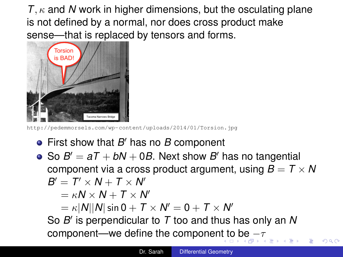<span id="page-4-0"></span>

<http://pedemmorsels.com/wp-content/uploads/2014/01/Torsion.jpg>

- First show that *B'* has no *B* component
- So  $B' = aT + bN + 0B$ . Next show  $B'$  has no tangential component via a cross product argument, using  $B = T \times N$  $B' = T' \times N + T \times N'$

$$
= \kappa N \times N + T \times N'
$$

$$
= \kappa |N||N|\sin\theta + T\times N' = 0 + T\times N'
$$

So *B*<sup>'</sup> is perpendicular to *T* too and thus has only an *N* component—we define the componen[t t](#page-3-0)[o b](#page-5-0)[e](#page-1-0)  $-\tau$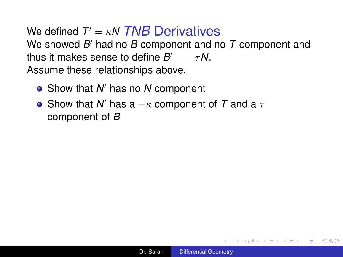- <span id="page-5-0"></span>Show that *N'* has no *N* component
- Show that  $N'$  has a  $-\kappa$  component of  $T$  and a  $\tau$ component of *B*

イロト イ押 トイヨ トイヨ トー

÷.  $QQ$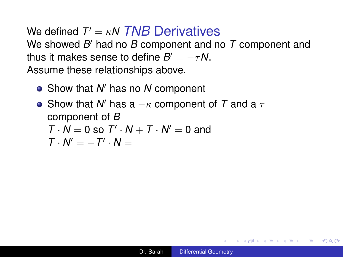- Show that *N'* has no *N* component
- Show that  $N'$  has a  $-\kappa$  component of  $T$  and a  $\tau$ component of *B*

$$
T \cdot N = 0 \text{ so } T' \cdot N + T \cdot N' = 0 \text{ and }
$$

$$
\mathcal{T}\cdot\mathcal{N}'=-\mathcal{T}'\cdot\mathcal{N}=
$$

イロト イ押 トイヨ トイヨ トー

÷.  $QQ$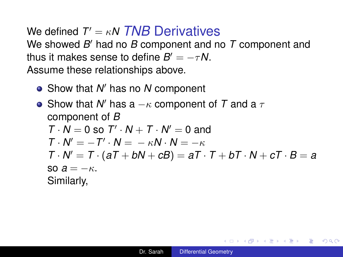- Show that *N'* has no *N* component
- Show that  $N'$  has a  $-\kappa$  component of  $T$  and a  $\tau$ component of *B*  $T \cdot N = 0$  so  $T' \cdot N + T \cdot N' = 0$  and  $T \cdot N' = -T' \cdot N = -\kappa N \cdot N = -\kappa$  $T \cdot N' = T \cdot (aT + bN + cB) = aT \cdot T + bT \cdot N + cT \cdot B = a$  $\text{SO } A = -\kappa$ . Similarly,

◆ロ→→ ◆何→→ ◆唐→→ ◆唐→ →唐→

 $QQ$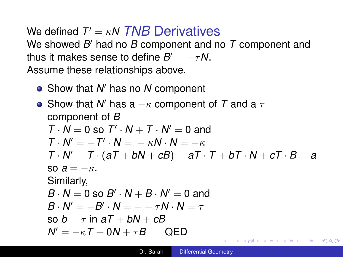Show that *N'* has no *N* component

• Show that N' has a 
$$
-\kappa
$$
 component of T and a  $\tau$   
\ncomponent of B  
\n $T \cdot N = 0$  so  $T' \cdot N + T \cdot N' = 0$  and  
\n $T \cdot N' = -T' \cdot N = -\kappa N \cdot N = -\kappa$   
\n $T \cdot N' = T \cdot (aT + bN + cB) = aT \cdot T + bT \cdot N + cT \cdot B = a$   
\nso  $a = -\kappa$ .  
\nSimilarly,  
\n $B \cdot N = 0$  so  $B' \cdot N + B \cdot N' = 0$  and  
\n $B \cdot N' = -B' \cdot N = -\tau N \cdot N = \tau$   
\nso  $b = \tau$  in  $aT + bN + cB$   
\n $N' = -\kappa T + 0N + \tau B$  QED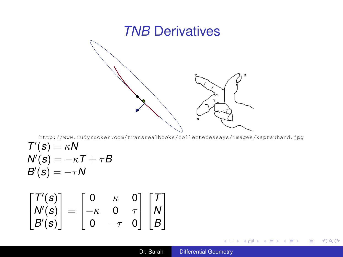

<http://www.rudyrucker.com/transrealbooks/collectedessays/images/kaptauhand.jpg>

$$
T'(s) = \kappa N
$$
  
N'(s) = -\kappa T + \tau B  
B'(s) = -\tau N

$$
\begin{bmatrix} T'(s) \\ N'(s) \\ B'(s) \end{bmatrix} = \begin{bmatrix} 0 & \kappa & 0 \\ -\kappa & 0 & \tau \\ 0 & -\tau & 0 \end{bmatrix} \begin{bmatrix} T \\ N \\ B \end{bmatrix}
$$

イロトメ 伊 メスミドメミド ジミックダウ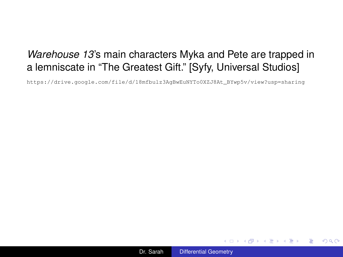## *Warehouse 13*'s main characters Myka and Pete are trapped in a lemniscate in "The Greatest Gift." [Syfy, Universal Studios]

[https://drive.google.com/file/d/18mfbulz3AgBwEuNYTo0XZJ8At\\_BYwp5v/view?usp=sharing](https://drive.google.com/file/d/18mfbulz3AgBwEuNYTo0XZJ8At_BYwp5v/view?usp=sharing)



イロト イ押 トイヨ トイヨ トー

ミー  $2Q$